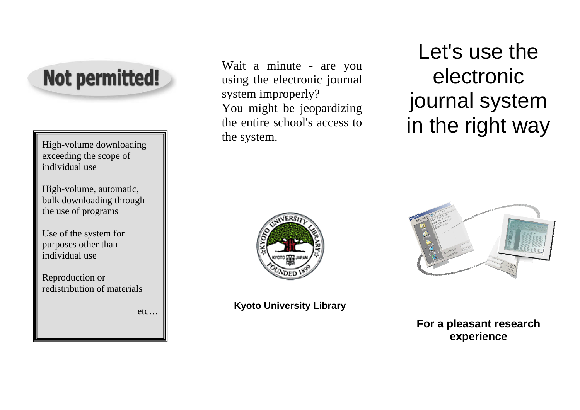

High-volume downloading exceeding the scope of individual use

High-volume, automatic, bulk downloading through the use of programs

Use of the system for purposes other than individual use

Reproduction or redistribution of materials

etc…

Wait a minute - are you using the electronic journal system improperly? You might be jeopardizing the entire school's access to the system.

Let's use the electronic journal system in the right way



**Kyoto University Library** 



**For a pleasant research experience**